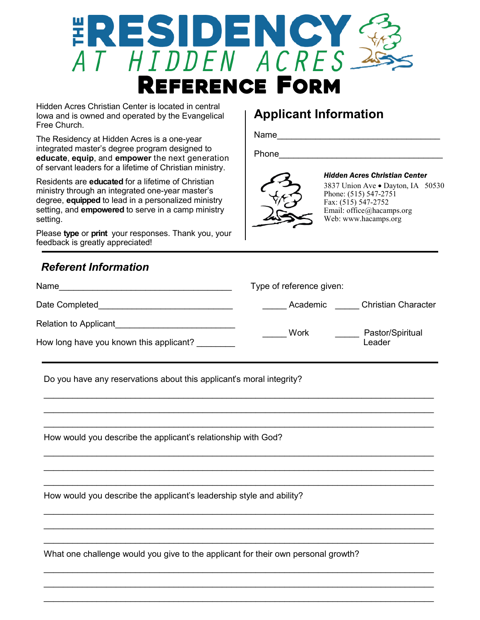

Hidden Acres Christian Center is located in central Iowa and is owned and operated by the Evangelical Free Church.

The Residency at Hidden Acres is a one-year integrated master's degree program designed to **educate**, **equip**, and **empower** the next generation of servant leaders for a lifetime of Christian ministry.

Residents are **educated** for a lifetime of Christian ministry through an integrated one-year master's degree, **equipped** to lead in a personalized ministry setting, and **empowered** to serve in a camp ministry setting.

Please **type** or **print** your responses. Thank you, your feedback is greatly appreciated!

# *Referent Information*

| Name                                    | Type of reference given: |                            |
|-----------------------------------------|--------------------------|----------------------------|
| Date Completed                          | Academic                 | <b>Christian Character</b> |
| <b>Relation to Applicant</b>            | Work                     | Pastor/Spiritual<br>Leader |
| How long have you known this applicant? |                          |                            |

 $\mathcal{L}_\text{max}$  and  $\mathcal{L}_\text{max}$  and  $\mathcal{L}_\text{max}$  and  $\mathcal{L}_\text{max}$  and  $\mathcal{L}_\text{max}$  and  $\mathcal{L}_\text{max}$ 

 $\mathcal{L}_\text{max}$  and  $\mathcal{L}_\text{max}$  and  $\mathcal{L}_\text{max}$  and  $\mathcal{L}_\text{max}$  and  $\mathcal{L}_\text{max}$  and  $\mathcal{L}_\text{max}$ 

 $\mathcal{L}_\mathcal{L} = \mathcal{L}_\mathcal{L} = \mathcal{L}_\mathcal{L} = \mathcal{L}_\mathcal{L} = \mathcal{L}_\mathcal{L} = \mathcal{L}_\mathcal{L} = \mathcal{L}_\mathcal{L} = \mathcal{L}_\mathcal{L} = \mathcal{L}_\mathcal{L} = \mathcal{L}_\mathcal{L} = \mathcal{L}_\mathcal{L} = \mathcal{L}_\mathcal{L} = \mathcal{L}_\mathcal{L} = \mathcal{L}_\mathcal{L} = \mathcal{L}_\mathcal{L} = \mathcal{L}_\mathcal{L} = \mathcal{L}_\mathcal{L}$ 

 $\mathcal{L}_\mathcal{L} = \mathcal{L}_\mathcal{L} = \mathcal{L}_\mathcal{L} = \mathcal{L}_\mathcal{L} = \mathcal{L}_\mathcal{L} = \mathcal{L}_\mathcal{L} = \mathcal{L}_\mathcal{L} = \mathcal{L}_\mathcal{L} = \mathcal{L}_\mathcal{L} = \mathcal{L}_\mathcal{L} = \mathcal{L}_\mathcal{L} = \mathcal{L}_\mathcal{L} = \mathcal{L}_\mathcal{L} = \mathcal{L}_\mathcal{L} = \mathcal{L}_\mathcal{L} = \mathcal{L}_\mathcal{L} = \mathcal{L}_\mathcal{L}$ 

 $\mathcal{L}_\mathcal{L} = \mathcal{L}_\mathcal{L} = \mathcal{L}_\mathcal{L} = \mathcal{L}_\mathcal{L} = \mathcal{L}_\mathcal{L} = \mathcal{L}_\mathcal{L} = \mathcal{L}_\mathcal{L} = \mathcal{L}_\mathcal{L} = \mathcal{L}_\mathcal{L} = \mathcal{L}_\mathcal{L} = \mathcal{L}_\mathcal{L} = \mathcal{L}_\mathcal{L} = \mathcal{L}_\mathcal{L} = \mathcal{L}_\mathcal{L} = \mathcal{L}_\mathcal{L} = \mathcal{L}_\mathcal{L} = \mathcal{L}_\mathcal{L}$ 

 $\mathcal{L}_\mathcal{L} = \mathcal{L}_\mathcal{L} = \mathcal{L}_\mathcal{L} = \mathcal{L}_\mathcal{L} = \mathcal{L}_\mathcal{L} = \mathcal{L}_\mathcal{L} = \mathcal{L}_\mathcal{L} = \mathcal{L}_\mathcal{L} = \mathcal{L}_\mathcal{L} = \mathcal{L}_\mathcal{L} = \mathcal{L}_\mathcal{L} = \mathcal{L}_\mathcal{L} = \mathcal{L}_\mathcal{L} = \mathcal{L}_\mathcal{L} = \mathcal{L}_\mathcal{L} = \mathcal{L}_\mathcal{L} = \mathcal{L}_\mathcal{L}$ 

 $\mathcal{L}_\mathcal{L} = \mathcal{L}_\mathcal{L} = \mathcal{L}_\mathcal{L} = \mathcal{L}_\mathcal{L} = \mathcal{L}_\mathcal{L} = \mathcal{L}_\mathcal{L} = \mathcal{L}_\mathcal{L} = \mathcal{L}_\mathcal{L} = \mathcal{L}_\mathcal{L} = \mathcal{L}_\mathcal{L} = \mathcal{L}_\mathcal{L} = \mathcal{L}_\mathcal{L} = \mathcal{L}_\mathcal{L} = \mathcal{L}_\mathcal{L} = \mathcal{L}_\mathcal{L} = \mathcal{L}_\mathcal{L} = \mathcal{L}_\mathcal{L}$  $\mathcal{L}_\mathcal{L} = \{ \mathcal{L}_\mathcal{L} = \{ \mathcal{L}_\mathcal{L} = \{ \mathcal{L}_\mathcal{L} = \{ \mathcal{L}_\mathcal{L} = \{ \mathcal{L}_\mathcal{L} = \{ \mathcal{L}_\mathcal{L} = \{ \mathcal{L}_\mathcal{L} = \{ \mathcal{L}_\mathcal{L} = \{ \mathcal{L}_\mathcal{L} = \{ \mathcal{L}_\mathcal{L} = \{ \mathcal{L}_\mathcal{L} = \{ \mathcal{L}_\mathcal{L} = \{ \mathcal{L}_\mathcal{L} = \{ \mathcal{L}_\mathcal{$ 

Do you have any reservations about this applicant's moral integrity?

How would you describe the applicant's relationship with God?

How would you describe the applicant's leadership style and ability?

What one challenge would you give to the applicant for their own personal growth?

#### *Hidden Acres Christian Center*

**Applicant Information**

Phone\_\_\_\_\_\_\_\_\_\_\_\_\_\_\_\_\_\_\_\_\_\_\_\_\_\_\_\_\_\_\_\_\_\_

Name\_\_\_\_\_\_\_\_\_\_\_\_\_\_\_\_\_\_\_\_\_\_\_\_\_\_\_\_\_\_\_\_\_\_

3837 Union Ave . Dayton, IA 50530 Phone: (515) 547-2751 Fax: (515) 547-2752 Email: office@hacamps.org Web: www.hacamps.org